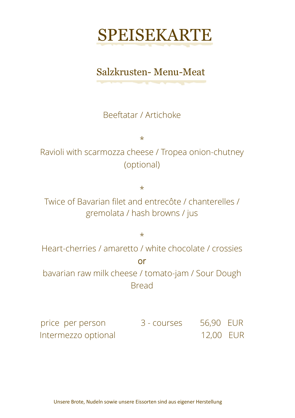

#### Salzkrusten- Menu-Meat

Beeftatar / Artichoke

\*

Ravioli with scarmozza cheese / Tropea onion-chutney (optional)

\*

Twice of Bavarian filet and entrecôte / chanterelles / gremolata / hash browns / jus

\*

Heart-cherries / amaretto / white chocolate / crossies or bavarian raw milk cheese / tomato-jam / Sour Dough

Bread

price per person 3 - courses 56,90 EUR Intermezzo optional 12,00 EUR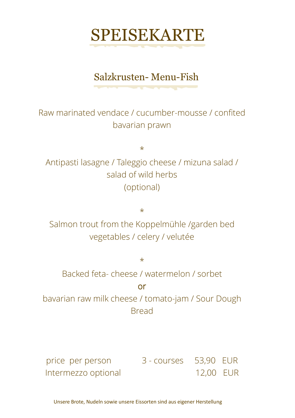### Salzkrusten- Menu-Fish

*<u>Andrew Community Community Community</u>* 

Raw marinated vendace / cucumber-mousse / confited bavarian prawn

\*

Antipasti lasagne / Taleggio cheese / mizuna salad / salad of wild herbs (optional)

\*

Salmon trout from the Koppelmühle /garden bed vegetables / celery / velutée

\*

Backed feta- cheese / watermelon / sorbet

#### or

bavarian raw milk cheese / tomato-jam / Sour Dough Bread

price per person 3 - courses 53,90 EUR Intermezzo optional 12,00 EUR

Unsere Brote, Nudeln sowie unsere Eissorten sind aus eigener Herstellung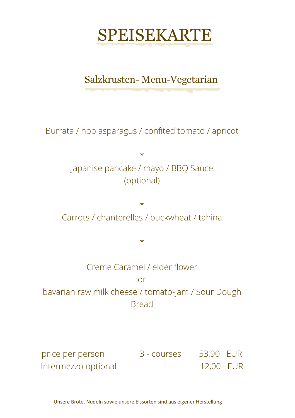

### Salzkrusten- Menu-Vegetarian

Burrata / hop asparagus / confited tomato / apricot

\* Japanise pancake / mayo / BBQ Sauce (optional)

\* Carrots / chanterelles / buckwheat / tahina

 $\star$ 

Creme Caramel / elder flower or bavarian raw milk cheese / tomato-jam / Sour Dough **Bread** 

price per person 3 - courses 53,90 EUR Intermezzo optional 12,00 EUR

Unsere Brote, Nudeln sowie unsere Eissorten sind aus eigener Herstellung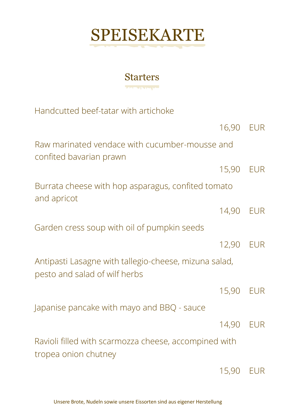#### **Starters** *MARKET MARKET AND RESERVE*

Handcutted beef-tatar with artichoke

|                                                                                        | 16,90 EUR |            |
|----------------------------------------------------------------------------------------|-----------|------------|
| Raw marinated vendace with cucumber-mousse and<br>confited bavarian prawn              |           |            |
|                                                                                        | 15,90 EUR |            |
| Burrata cheese with hop asparagus, confited tomato<br>and apricot                      |           |            |
|                                                                                        | 14,90     | <b>EUR</b> |
| Garden cress soup with oil of pumpkin seeds                                            |           |            |
|                                                                                        | 12,90     | <b>EUR</b> |
| Antipasti Lasagne with tallegio-cheese, mizuna salad,<br>pesto and salad of wilf herbs |           |            |
|                                                                                        | 15,90 EUR |            |
| Japanise pancake with mayo and BBQ - sauce                                             |           |            |
|                                                                                        | 14,90 EUR |            |
| Ravioli filled with scarmozza cheese, accompined with<br>tropea onion chutney          |           |            |
|                                                                                        | 15,90     | <b>EUR</b> |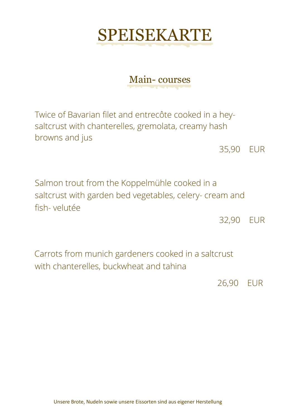### Main- courses

Twice of Bavarian filet and entrecôte cooked in a heysaltcrust with chanterelles, gremolata, creamy hash browns and jus

35,90 EUR

Salmon trout from the Koppelmühle cooked in a saltcrust with garden bed vegetables, celery- cream and fish- velutée

32,90 EUR

Carrots from munich gardeners cooked in a saltcrust with chanterelles, buckwheat and tahina

26,90 EUR